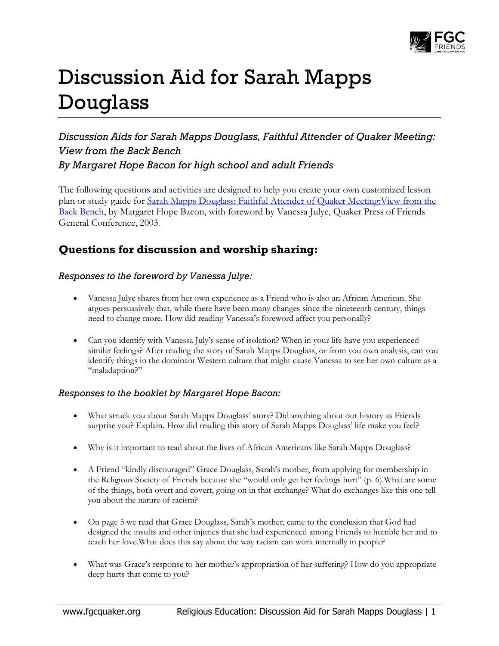

# Discussion Aid for Sarah Mapps Douglass

## *Discussion Aids for Sarah Mapps Douglass, Faithful Attender of Quaker Meeting: View from the Back Bench By Margaret Hope Bacon for high school and adult Friends*

The following questions and activities are designed to help you create your own customized lesson plan or study guide for [Sarah Mapps Douglass: Faithful Attender of Quaker Meeting:View from the](http://www.quakerbooks.org/get/1-888305-27-4)  [Back Bench,](http://www.quakerbooks.org/get/1-888305-27-4) by Margaret Hope Bacon, with foreword by Vanessa Julye, Quaker Press of Friends General Conference, 2003.

## **Questions for discussion and worship sharing:**

#### *Responses to the foreword by Vanessa Julye:*

- Vanessa Julye shares from her own experience as a Friend who is also an African American. She argues persuasively that, while there have been many changes since the nineteenth century, things need to change more. How did reading Vanessa's foreword affect you personally?
- Can you identify with Vanessa July's sense of isolation? When in your life have you experienced similar feelings? After reading the story of Sarah Mapps Douglass, or from you own analysis, can you identify things in the dominant Western culture that might cause Vanessa to see her own culture as a "maladaption?"

#### *Responses to the booklet by Margaret Hope Bacon:*

- What struck you about Sarah Mapps Douglass' story? Did anything about our history as Friends surprise you? Explain. How did reading this story of Sarah Mapps Douglass' life make you feel?
- Why is it important to read about the lives of African Americans like Sarah Mapps Douglass?
- A Friend "kindly discouraged" Grace Douglass, Sarah's mother, from applying for membership in the Religious Society of Friends because she "would only get her feelings hurt" (p. 6).What are some of the things, both overt and covert, going on in that exchange? What do exchanges like this one tell you about the nature of racism?
- On page 5 we read that Grace Douglass, Sarah's mother, came to the conclusion that God had designed the insults and other injuries that she had experienced among Friends to humble her and to teach her love.What does this say about the way racism can work internally in people?
- What was Grace's response to her mother's appropriation of her suffering? How do you appropriate deep hurts that come to you?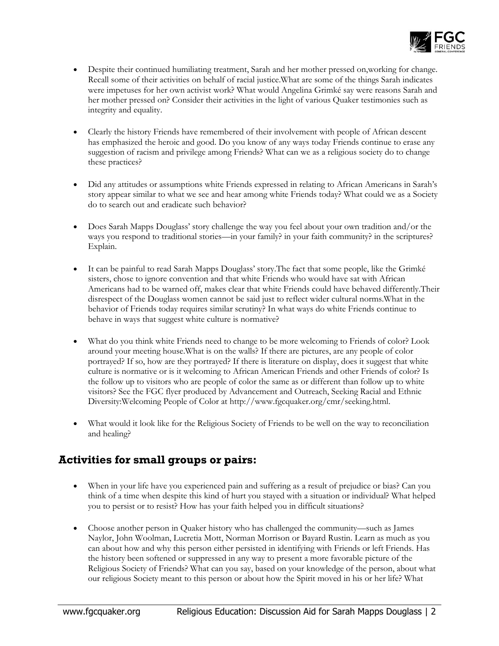

- Despite their continued humiliating treatment, Sarah and her mother pressed on,working for change. Recall some of their activities on behalf of racial justice.What are some of the things Sarah indicates were impetuses for her own activist work? What would Angelina Grimké say were reasons Sarah and her mother pressed on? Consider their activities in the light of various Quaker testimonies such as integrity and equality.
- Clearly the history Friends have remembered of their involvement with people of African descent has emphasized the heroic and good. Do you know of any ways today Friends continue to erase any suggestion of racism and privilege among Friends? What can we as a religious society do to change these practices?
- Did any attitudes or assumptions white Friends expressed in relating to African Americans in Sarah's story appear similar to what we see and hear among white Friends today? What could we as a Society do to search out and eradicate such behavior?
- Does Sarah Mapps Douglass' story challenge the way you feel about your own tradition and/or the ways you respond to traditional stories—in your family? in your faith community? in the scriptures? Explain.
- It can be painful to read Sarah Mapps Douglass' story.The fact that some people, like the Grimké sisters, chose to ignore convention and that white Friends who would have sat with African Americans had to be warned off, makes clear that white Friends could have behaved differently.Their disrespect of the Douglass women cannot be said just to reflect wider cultural norms.What in the behavior of Friends today requires similar scrutiny? In what ways do white Friends continue to behave in ways that suggest white culture is normative?
- What do you think white Friends need to change to be more welcoming to Friends of color? Look around your meeting house.What is on the walls? If there are pictures, are any people of color portrayed? If so, how are they portrayed? If there is literature on display, does it suggest that white culture is normative or is it welcoming to African American Friends and other Friends of color? Is the follow up to visitors who are people of color the same as or different than follow up to white visitors? See the FGC flyer produced by Advancement and Outreach, Seeking Racial and Ethnic Diversity:Welcoming People of Color at http://www.fgcquaker.org/cmr/seeking.html.
- What would it look like for the Religious Society of Friends to be well on the way to reconciliation and healing?

## **Activities for small groups or pairs:**

- When in your life have you experienced pain and suffering as a result of prejudice or bias? Can you think of a time when despite this kind of hurt you stayed with a situation or individual? What helped you to persist or to resist? How has your faith helped you in difficult situations?
- Choose another person in Quaker history who has challenged the community—such as James Naylor, John Woolman, Lucretia Mott, Norman Morrison or Bayard Rustin. Learn as much as you can about how and why this person either persisted in identifying with Friends or left Friends. Has the history been softened or suppressed in any way to present a more favorable picture of the Religious Society of Friends? What can you say, based on your knowledge of the person, about what our religious Society meant to this person or about how the Spirit moved in his or her life? What